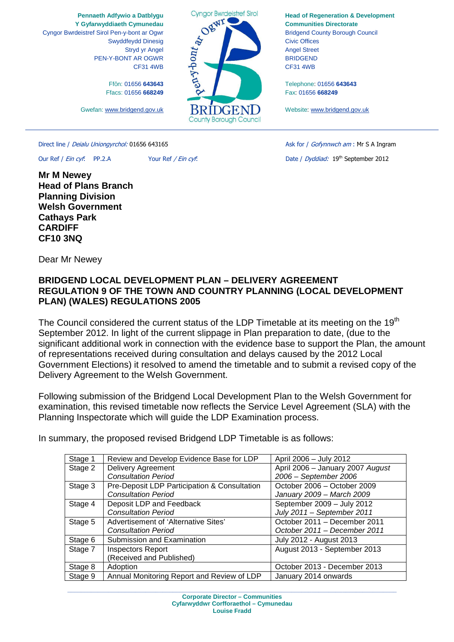**Pennaeth Adfywio a Datblygu Y Gyfarwyddiaeth Cymunedau** Cyngor Bwrdeistref Sirol Pen-y-bont ar Ogwr Swyddfeydd Dinesig Stryd yr Angel PEN-Y-BONT AR OGWR CF31 4WB

> FfÔn: 01656 **643643** Ffacs: 01656 **668249**

Gwefan: www.bridgend.gov.uk

Direct line / Deialu Uniongyrchol: 01656 643165 Ask for / Gofynnwch am : Mr S A Ingram

**Mr M Newey Head of Plans Branch Planning Division Welsh Government Cathays Park CARDIFF CF10 3NQ** 

Our Ref / Ein cyf: PP.2.A Your Ref / Ein cyf: Date / Dyddiad: 19th September 2012

Dear Mr Newey

## **BRIDGEND LOCAL DEVELOPMENT PLAN – DELIVERY AGREEMENT REGULATION 9 OF THE TOWN AND COUNTRY PLANNING (LOCAL DEVELOPMENT PLAN) (WALES) REGULATIONS 2005**

The Council considered the current status of the LDP Timetable at its meeting on the 19<sup>th</sup> September 2012. In light of the current slippage in Plan preparation to date, (due to the significant additional work in connection with the evidence base to support the Plan, the amount of representations received during consultation and delays caused by the 2012 Local Government Elections) it resolved to amend the timetable and to submit a revised copy of the Delivery Agreement to the Welsh Government.

Following submission of the Bridgend Local Development Plan to the Welsh Government for examination, this revised timetable now reflects the Service Level Agreement (SLA) with the Planning Inspectorate which will guide the LDP Examination process.

In summary, the proposed revised Bridgend LDP Timetable is as follows:

| Review and Develop Evidence Base for LDP     | April 2006 - July 2012           |
|----------------------------------------------|----------------------------------|
| <b>Delivery Agreement</b>                    | April 2006 - January 2007 August |
| <b>Consultation Period</b>                   | 2006 - September 2006            |
| Pre-Deposit LDP Participation & Consultation | October 2006 - October 2009      |
| <b>Consultation Period</b>                   | January 2009 - March 2009        |
| Deposit LDP and Feedback                     | September 2009 - July 2012       |
| <b>Consultation Period</b>                   | July 2011 - September 2011       |
| Advertisement of 'Alternative Sites'         | October 2011 - December 2011     |
| <b>Consultation Period</b>                   | October 2011 - December 2011     |
| Submission and Examination                   | July 2012 - August 2013          |
| <b>Inspectors Report</b>                     | August 2013 - September 2013     |
| (Received and Published)                     |                                  |
| Adoption                                     | October 2013 - December 2013     |
| Annual Monitoring Report and Review of LDP   | January 2014 onwards             |
|                                              |                                  |

**Louise Fradd**

Entront at October WI **RIDGEN** 

County Borough Council

**Cyngor Bwrdeistref Sirol** 

**Head of Regeneration & Development Communities Directorate**  Bridgend County Borough Council Civic Offices Angel Street BRIDGEND CF31 4WB

Telephone: 01656 **643643** Fax: 01656 **668249** 

Website: www.bridgend.gov.uk